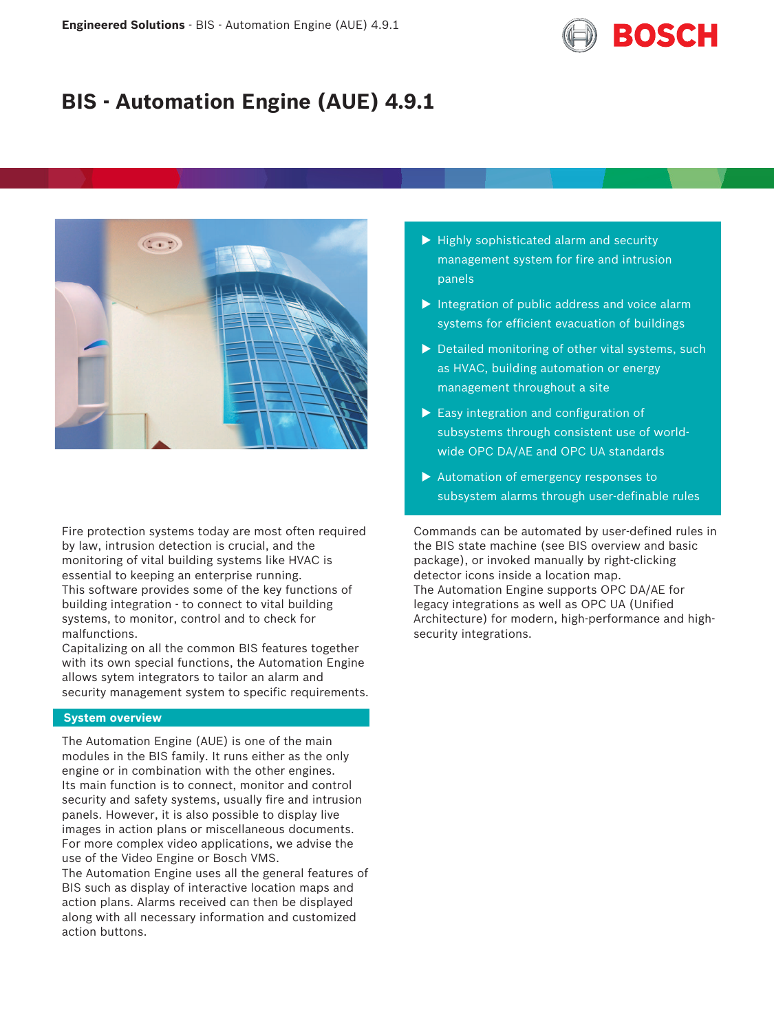

# **BIS - Automation Engine (AUE) 4.9.1**



Fire protection systems today are most often required by law, intrusion detection is crucial, and the monitoring of vital building systems like HVAC is essential to keeping an enterprise running. This software provides some of the key functions of building integration - to connect to vital building systems, to monitor, control and to check for malfunctions.

Capitalizing on all the common BIS features together with its own special functions, the Automation Engine allows sytem integrators to tailor an alarm and security management system to specific requirements.

#### **System overview**

The Automation Engine (AUE) is one of the main modules in the BIS family. It runs either as the only engine or in combination with the other engines. Its main function is to connect, monitor and control security and safety systems, usually fire and intrusion panels. However, it is also possible to display live images in action plans or miscellaneous documents. For more complex video applications, we advise the use of the Video Engine or Bosch VMS. The Automation Engine uses all the general features of BIS such as display of interactive location maps and action plans. Alarms received can then be displayed along with all necessary information and customized action buttons.

- $\blacktriangleright$  Highly sophisticated alarm and security management system for fire and intrusion panels
- $\blacktriangleright$  Integration of public address and voice alarm systems for efficient evacuation of buildings
- $\triangleright$  Detailed monitoring of other vital systems, such as HVAC, building automation or energy management throughout a site
- $\blacktriangleright$  Easy integration and configuration of subsystems through consistent use of worldwide OPC DA/AE and OPC UA standards
- $\blacktriangleright$  Automation of emergency responses to subsystem alarms through user-definable rules

Commands can be automated by user-defined rules in the BIS state machine (see BIS overview and basic package), or invoked manually by right-clicking detector icons inside a location map. The Automation Engine supports OPC DA/AE for legacy integrations as well as OPC UA (Unified Architecture) for modern, high-performance and highsecurity integrations.